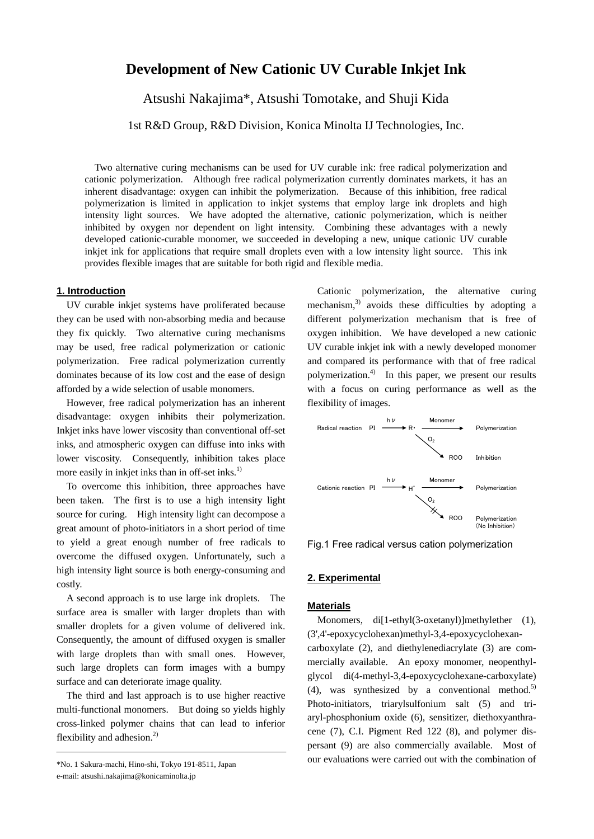# **Development of New Cationic UV Curable Inkjet Ink**

Atsushi Nakajima\*, Atsushi Tomotake, and Shuji Kida

1st R&D Group, R&D Division, Konica Minolta IJ Technologies, Inc.

Two alternative curing mechanisms can be used for UV curable ink: free radical polymerization and cationic polymerization. Although free radical polymerization currently dominates markets, it has an inherent disadvantage: oxygen can inhibit the polymerization. Because of this inhibition, free radical polymerization is limited in application to inkjet systems that employ large ink droplets and high intensity light sources. We have adopted the alternative, cationic polymerization, which is neither inhibited by oxygen nor dependent on light intensity. Combining these advantages with a newly developed cationic-curable monomer, we succeeded in developing a new, unique cationic UV curable inkjet ink for applications that require small droplets even with a low intensity light source. This ink provides flexible images that are suitable for both rigid and flexible media.

# **1. Introduction**

UV curable inkjet systems have proliferated because they can be used with non-absorbing media and because they fix quickly. Two alternative curing mechanisms may be used, free radical polymerization or cationic polymerization. Free radical polymerization currently dominates because of its low cost and the ease of design afforded by a wide selection of usable monomers.

However, free radical polymerization has an inherent disadvantage: oxygen inhibits their polymerization. Inkjet inks have lower viscosity than conventional off-set inks, and atmospheric oxygen can diffuse into inks with lower viscosity. Consequently, inhibition takes place more easily in inkjet inks than in off-set inks.<sup>1)</sup>

To overcome this inhibition, three approaches have been taken. The first is to use a high intensity light source for curing. High intensity light can decompose a great amount of photo-initiators in a short period of time to yield a great enough number of free radicals to overcome the diffused oxygen. Unfortunately, such a high intensity light source is both energy-consuming and costly.

A second approach is to use large ink droplets. The surface area is smaller with larger droplets than with smaller droplets for a given volume of delivered ink. Consequently, the amount of diffused oxygen is smaller with large droplets than with small ones. However, such large droplets can form images with a bumpy surface and can deteriorate image quality.

The third and last approach is to use higher reactive multi-functional monomers. But doing so yields highly cross-linked polymer chains that can lead to inferior flexibility and adhesion. $^{2)}$ 

Cationic polymerization, the alternative curing mechanism, $3$  avoids these difficulties by adopting a different polymerization mechanism that is free of oxygen inhibition. We have developed a new cationic UV curable inkjet ink with a newly developed monomer and compared its performance with that of free radical polymerization.4) In this paper, we present our results with a focus on curing performance as well as the flexibility of images.



Fig.1 Free radical versus cation polymerization

### **2. Experimental**

#### **Materials**

Monomers, di<sup>[1-ethyl(3-oxetanyl)]</sup>methylether (1), (3',4'-epoxycyclohexan)methyl-3,4-epoxycyclohexancarboxylate (2), and diethylenediacrylate (3) are commercially available. An epoxy monomer, neopenthylglycol di(4-methyl-3,4-epoxycyclohexane-carboxylate) (4), was synthesized by a conventional method.<sup>5)</sup> Photo-initiators, triarylsulfonium salt (5) and triaryl-phosphonium oxide (6), sensitizer, diethoxyanthracene (7), C.I. Pigment Red 122 (8), and polymer dispersant (9) are also commercially available. Most of our evaluations were carried out with the combination of

<sup>\*</sup>No. 1 Sakura-machi, Hino-shi, Tokyo 191-8511, Japan

e-mail: atsushi.nakajima@konicaminolta.jp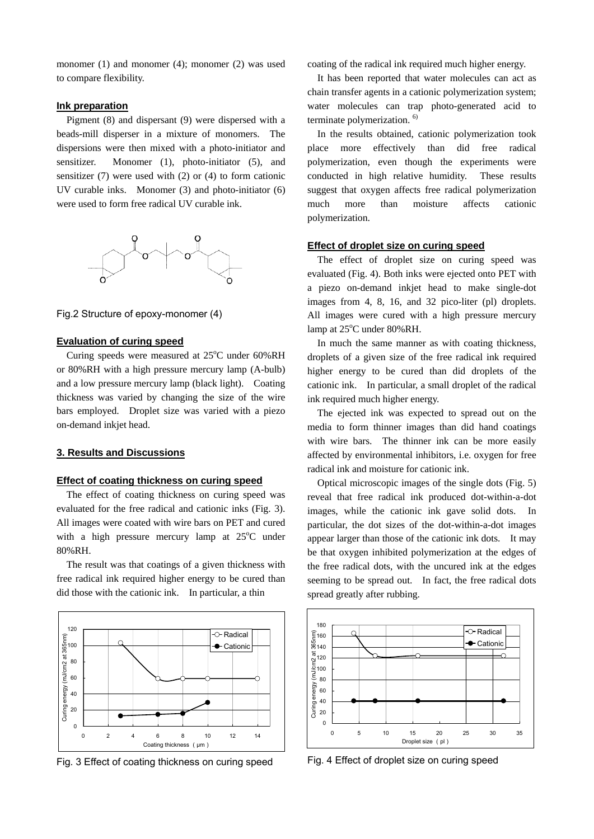monomer (1) and monomer (4); monomer (2) was used to compare flexibility.

## **Ink preparation**

Pigment (8) and dispersant (9) were dispersed with a beads-mill disperser in a mixture of monomers. The dispersions were then mixed with a photo-initiator and sensitizer. Monomer (1), photo-initiator (5), and sensitizer (7) were used with (2) or (4) to form cationic UV curable inks. Monomer (3) and photo-initiator (6) were used to form free radical UV curable ink.



Fig.2 Structure of epoxy-monomer (4)

#### **Evaluation of curing speed**

Curing speeds were measured at 25°C under 60%RH or 80%RH with a high pressure mercury lamp (A-bulb) and a low pressure mercury lamp (black light). Coating thickness was varied by changing the size of the wire bars employed. Droplet size was varied with a piezo on-demand inkjet head.

## **3. Results and Discussions**

#### **Effect of coating thickness on curing speed**

The effect of coating thickness on curing speed was evaluated for the free radical and cationic inks (Fig. 3). All images were coated with wire bars on PET and cured with a high pressure mercury lamp at  $25^{\circ}$ C under 80%RH.

The result was that coatings of a given thickness with free radical ink required higher energy to be cured than did those with the cationic ink. In particular, a thin



Fig. 3 Effect of coating thickness on curing speed

coating of the radical ink required much higher energy.

It has been reported that water molecules can act as chain transfer agents in a cationic polymerization system; water molecules can trap photo-generated acid to terminate polymerization. 6)

In the results obtained, cationic polymerization took place more effectively than did free radical polymerization, even though the experiments were conducted in high relative humidity. These results suggest that oxygen affects free radical polymerization much more than moisture affects cationic polymerization.

### **Effect of droplet size on curing speed**

The effect of droplet size on curing speed was evaluated (Fig. 4). Both inks were ejected onto PET with a piezo on-demand inkjet head to make single-dot images from 4, 8, 16, and 32 pico-liter (pl) droplets. All images were cured with a high pressure mercury lamp at 25°C under 80%RH.

In much the same manner as with coating thickness, droplets of a given size of the free radical ink required higher energy to be cured than did droplets of the cationic ink. In particular, a small droplet of the radical ink required much higher energy.

The ejected ink was expected to spread out on the media to form thinner images than did hand coatings with wire bars. The thinner ink can be more easily affected by environmental inhibitors, i.e. oxygen for free radical ink and moisture for cationic ink.

Optical microscopic images of the single dots (Fig. 5) reveal that free radical ink produced dot-within-a-dot images, while the cationic ink gave solid dots. In particular, the dot sizes of the dot-within-a-dot images appear larger than those of the cationic ink dots. It may be that oxygen inhibited polymerization at the edges of the free radical dots, with the uncured ink at the edges seeming to be spread out. In fact, the free radical dots spread greatly after rubbing.



Fig. 4 Effect of droplet size on curing speed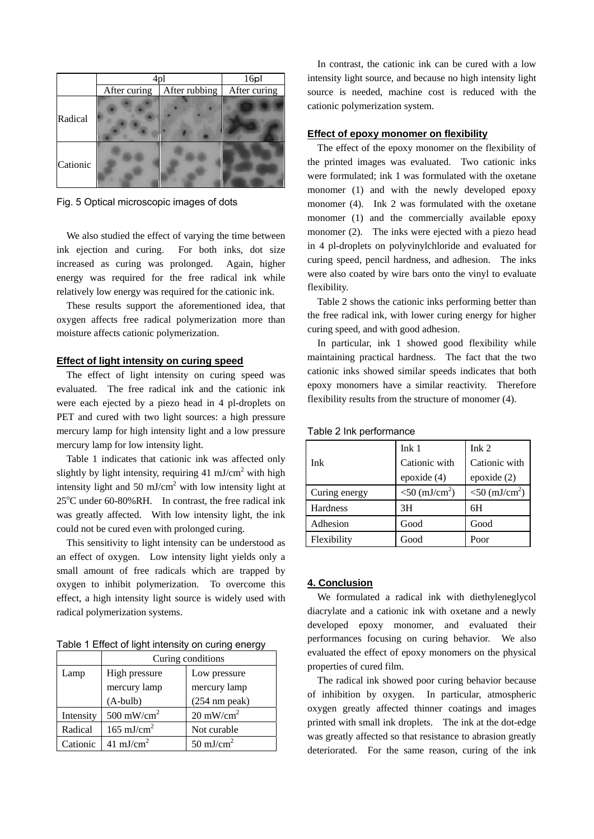|          | 4pl          |               | 16p          |
|----------|--------------|---------------|--------------|
|          | After curing | After rubbing | After curing |
| Radical  |              |               |              |
| Cationic |              |               |              |

Fig. 5 Optical microscopic images of dots

We also studied the effect of varying the time between ink ejection and curing. For both inks, dot size increased as curing was prolonged. Again, higher energy was required for the free radical ink while relatively low energy was required for the cationic ink.

These results support the aforementioned idea, that oxygen affects free radical polymerization more than moisture affects cationic polymerization.

# **Effect of light intensity on curing speed**

The effect of light intensity on curing speed was evaluated. The free radical ink and the cationic ink were each ejected by a piezo head in 4 pl-droplets on PET and cured with two light sources: a high pressure mercury lamp for high intensity light and a low pressure mercury lamp for low intensity light.

Table 1 indicates that cationic ink was affected only slightly by light intensity, requiring  $41 \text{ mJ/cm}^2$  with high intensity light and 50 mJ/cm<sup>2</sup> with low intensity light at 25<sup>o</sup>C under 60-80%RH. In contrast, the free radical ink was greatly affected. With low intensity light, the ink could not be cured even with prolonged curing.

This sensitivity to light intensity can be understood as an effect of oxygen. Low intensity light yields only a small amount of free radicals which are trapped by oxygen to inhibit polymerization. To overcome this effect, a high intensity light source is widely used with radical polymerization systems.

Table 1 Effect of light intensity on curing energy

|           | Curing conditions      |                         |  |
|-----------|------------------------|-------------------------|--|
| Lamp      | High pressure          | Low pressure            |  |
|           | mercury lamp           | mercury lamp            |  |
|           | $(A$ -bulb $)$         | $(254 \text{ nm peak})$ |  |
| Intensity | 500 mW/cm <sup>2</sup> | $20 \text{ mW/cm}^2$    |  |
| Radical   | $165 \text{ mJ/cm}^2$  | Not curable             |  |
| Cationic  | 41 mJ/cm <sup>2</sup>  | 50 mJ/cm <sup>2</sup>   |  |

In contrast, the cationic ink can be cured with a low intensity light source, and because no high intensity light source is needed, machine cost is reduced with the cationic polymerization system.

#### **Effect of epoxy monomer on flexibility**

The effect of the epoxy monomer on the flexibility of the printed images was evaluated. Two cationic inks were formulated; ink 1 was formulated with the oxetane monomer (1) and with the newly developed epoxy monomer (4). Ink 2 was formulated with the oxetane monomer (1) and the commercially available epoxy monomer (2). The inks were ejected with a piezo head in 4 pl-droplets on polyvinylchloride and evaluated for curing speed, pencil hardness, and adhesion. The inks were also coated by wire bars onto the vinyl to evaluate flexibility.

Table 2 shows the cationic inks performing better than the free radical ink, with lower curing energy for higher curing speed, and with good adhesion.

In particular, ink 1 showed good flexibility while maintaining practical hardness. The fact that the two cationic inks showed similar speeds indicates that both epoxy monomers have a similar reactivity. Therefore flexibility results from the structure of monomer (4).

|               | Ink <sub>1</sub>             | Ink <sub>2</sub>           |
|---------------|------------------------------|----------------------------|
| Ink           | Cationic with                | Cationic with              |
|               | epoxide (4)                  | epoxide $(2)$              |
| Curing energy | $<$ 50 (mJ/cm <sup>2</sup> ) | $< 50 \, (\text{mJ/cm}^2)$ |
| Hardness      | 3H                           | 6H                         |
| Adhesion      | Good                         | Good                       |
| Flexibility   | Good                         | Poor                       |

Table 2 Ink performance

# **4. Conclusion**

We formulated a radical ink with diethyleneglycol diacrylate and a cationic ink with oxetane and a newly developed epoxy monomer, and evaluated their performances focusing on curing behavior. We also evaluated the effect of epoxy monomers on the physical properties of cured film.

The radical ink showed poor curing behavior because of inhibition by oxygen. In particular, atmospheric oxygen greatly affected thinner coatings and images printed with small ink droplets. The ink at the dot-edge was greatly affected so that resistance to abrasion greatly deteriorated. For the same reason, curing of the ink